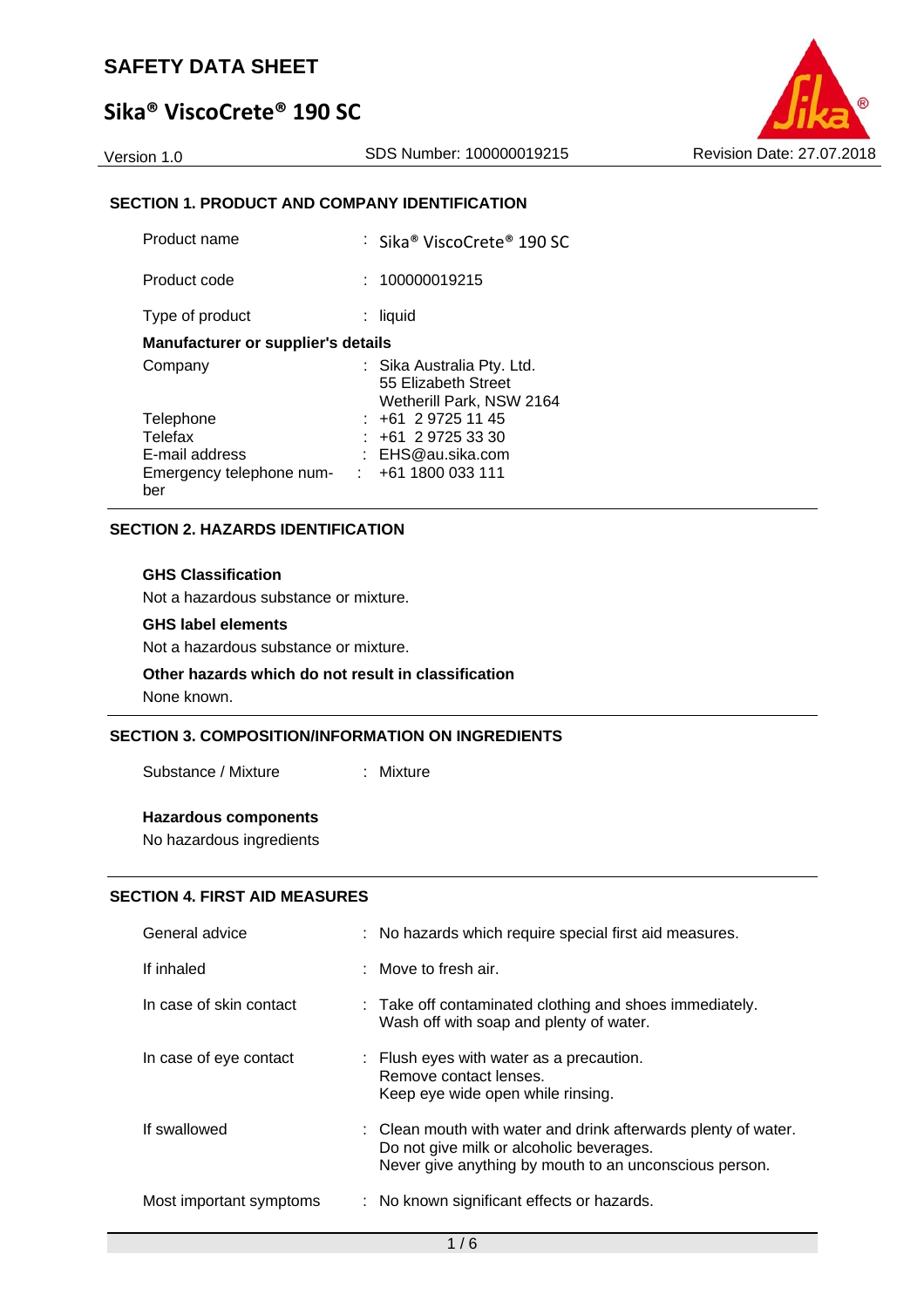# **Sika® ViscoCrete® 190 SC**

### **SECTION 1. PRODUCT AND COMPANY IDENTIFICATION**

| Product name                              | : Sika® ViscoCrete® 190 SC                                                    |
|-------------------------------------------|-------------------------------------------------------------------------------|
| Product code                              | 100000019215                                                                  |
| Type of product                           | liquid                                                                        |
| <b>Manufacturer or supplier's details</b> |                                                                               |
| Company                                   | : Sika Australia Pty. Ltd.<br>55 Elizabeth Street<br>Wetherill Park, NSW 2164 |
| Telephone                                 | : +61 2 9725 11 45                                                            |
| Telefax                                   | $: +61297253330$                                                              |
| E-mail address                            | : EHS@au.sika.com                                                             |
| Emergency telephone num-<br>ber           | $\div$ +61 1800 033 111                                                       |

### **SECTION 2. HAZARDS IDENTIFICATION**

#### **GHS Classification**

Not a hazardous substance or mixture.

### **GHS label elements**

Not a hazardous substance or mixture.

#### **Other hazards which do not result in classification**

None known.

### **SECTION 3. COMPOSITION/INFORMATION ON INGREDIENTS**

Substance / Mixture : Mixture

### **Hazardous components**

No hazardous ingredients

### **SECTION 4. FIRST AID MEASURES**

| General advice          | : No hazards which require special first aid measures.                                                                                                               |
|-------------------------|----------------------------------------------------------------------------------------------------------------------------------------------------------------------|
| If inhaled              | : Move to fresh air.                                                                                                                                                 |
| In case of skin contact | : Take off contaminated clothing and shoes immediately.<br>Wash off with soap and plenty of water.                                                                   |
| In case of eye contact  | : Flush eyes with water as a precaution.<br>Remove contact lenses.<br>Keep eye wide open while rinsing.                                                              |
| If swallowed            | : Clean mouth with water and drink afterwards plenty of water.<br>Do not give milk or alcoholic beverages.<br>Never give anything by mouth to an unconscious person. |
| Most important symptoms | : No known significant effects or hazards.                                                                                                                           |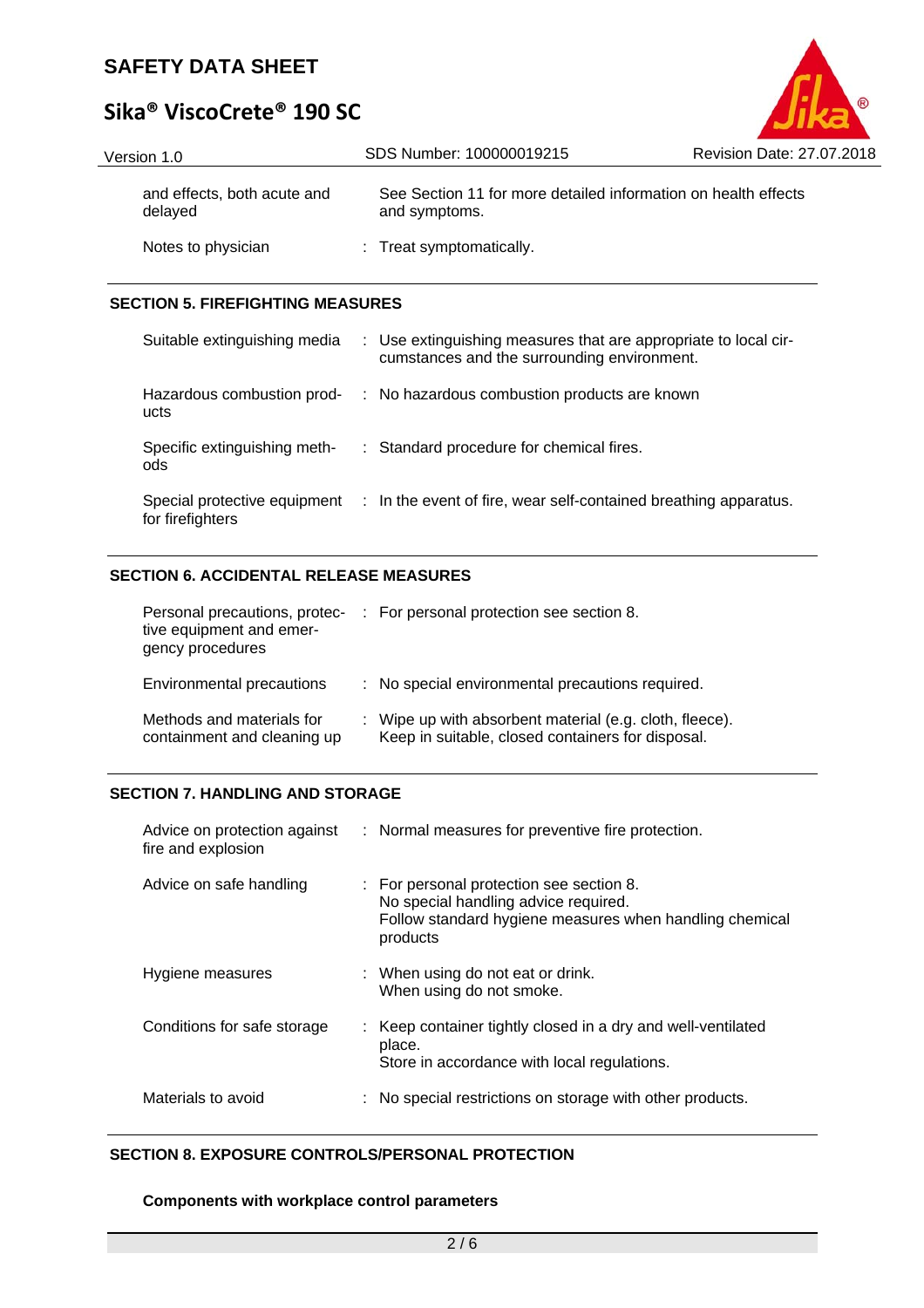# **Sika® ViscoCrete® 190 SC**

| Version 1.0                            | SDS Number: 100000019215                                                        | Revision Date: 27.07.2018 |
|----------------------------------------|---------------------------------------------------------------------------------|---------------------------|
| and effects, both acute and<br>delayed | See Section 11 for more detailed information on health effects<br>and symptoms. |                           |
| Notes to physician                     | : Treat symptomatically.                                                        |                           |

®

### **SECTION 5. FIREFIGHTING MEASURES**

| Suitable extinguishing media        | : Use extinguishing measures that are appropriate to local cir-<br>cumstances and the surrounding environment. |
|-------------------------------------|----------------------------------------------------------------------------------------------------------------|
| Hazardous combustion prod-<br>ucts  | : No hazardous combustion products are known                                                                   |
| Specific extinguishing meth-<br>ods | : Standard procedure for chemical fires.                                                                       |
| for firefighters                    | Special protective equipment : In the event of fire, wear self-contained breathing apparatus.                  |

### **SECTION 6. ACCIDENTAL RELEASE MEASURES**

| Personal precautions, protec-<br>tive equipment and emer-<br>gency procedures | : For personal protection see section 8.                                                                     |
|-------------------------------------------------------------------------------|--------------------------------------------------------------------------------------------------------------|
| Environmental precautions                                                     | : No special environmental precautions required.                                                             |
| Methods and materials for<br>containment and cleaning up                      | : Wipe up with absorbent material (e.g. cloth, fleece).<br>Keep in suitable, closed containers for disposal. |

### **SECTION 7. HANDLING AND STORAGE**

| Advice on protection against<br>fire and explosion | : Normal measures for preventive fire protection.                                                                                                       |
|----------------------------------------------------|---------------------------------------------------------------------------------------------------------------------------------------------------------|
| Advice on safe handling                            | : For personal protection see section 8.<br>No special handling advice required.<br>Follow standard hygiene measures when handling chemical<br>products |
| Hygiene measures                                   | : When using do not eat or drink.<br>When using do not smoke.                                                                                           |
| Conditions for safe storage                        | : Keep container tightly closed in a dry and well-ventilated<br>place.<br>Store in accordance with local regulations.                                   |
| Materials to avoid                                 | : No special restrictions on storage with other products.                                                                                               |

### **SECTION 8. EXPOSURE CONTROLS/PERSONAL PROTECTION**

### **Components with workplace control parameters**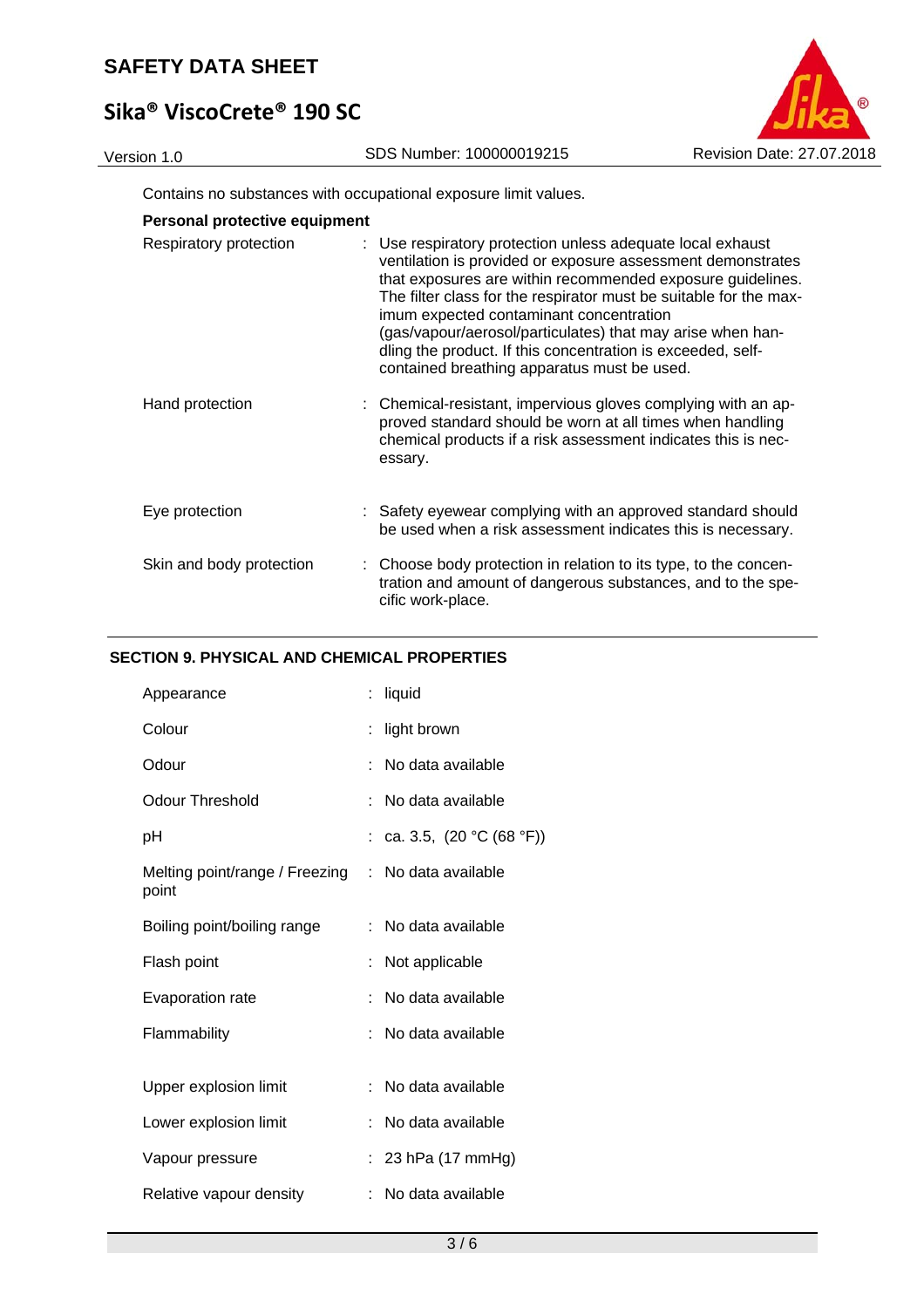# **Sika® ViscoCrete® 190 SC**



Contains no substances with occupational exposure limit values.

| Personal protective equipment |                                                                                                                                                                                                                                                                                                                                                                                                                                                                                     |
|-------------------------------|-------------------------------------------------------------------------------------------------------------------------------------------------------------------------------------------------------------------------------------------------------------------------------------------------------------------------------------------------------------------------------------------------------------------------------------------------------------------------------------|
| Respiratory protection        | : Use respiratory protection unless adequate local exhaust<br>ventilation is provided or exposure assessment demonstrates<br>that exposures are within recommended exposure guidelines.<br>The filter class for the respirator must be suitable for the max-<br>imum expected contaminant concentration<br>(gas/vapour/aerosol/particulates) that may arise when han-<br>dling the product. If this concentration is exceeded, self-<br>contained breathing apparatus must be used. |
| Hand protection               | : Chemical-resistant, impervious gloves complying with an ap-<br>proved standard should be worn at all times when handling<br>chemical products if a risk assessment indicates this is nec-<br>essary.                                                                                                                                                                                                                                                                              |
| Eye protection                | : Safety eyewear complying with an approved standard should<br>be used when a risk assessment indicates this is necessary.                                                                                                                                                                                                                                                                                                                                                          |
| Skin and body protection      | : Choose body protection in relation to its type, to the concen-<br>tration and amount of dangerous substances, and to the spe-<br>cific work-place.                                                                                                                                                                                                                                                                                                                                |

### **SECTION 9. PHYSICAL AND CHEMICAL PROPERTIES**

| Appearance                              | ÷  | liquid                     |
|-----------------------------------------|----|----------------------------|
| Colour                                  | t  | light brown                |
| Odour                                   | ÷  | No data available          |
| Odour Threshold                         |    | No data available          |
| рH                                      |    | ca. 3.5, $(20 °C (68 °F))$ |
| Melting point/range / Freezing<br>point | ÷. | No data available          |
| Boiling point/boiling range             |    | No data available          |
| Flash point                             |    | Not applicable             |
| Evaporation rate                        | ÷  | No data available          |
| Flammability                            |    | No data available          |
|                                         |    |                            |
| Upper explosion limit                   |    | No data available          |
| Lower explosion limit                   | t. | No data available          |
| Vapour pressure                         |    | 23 hPa (17 mmHg)           |
| Relative vapour density                 | ÷. | No data available          |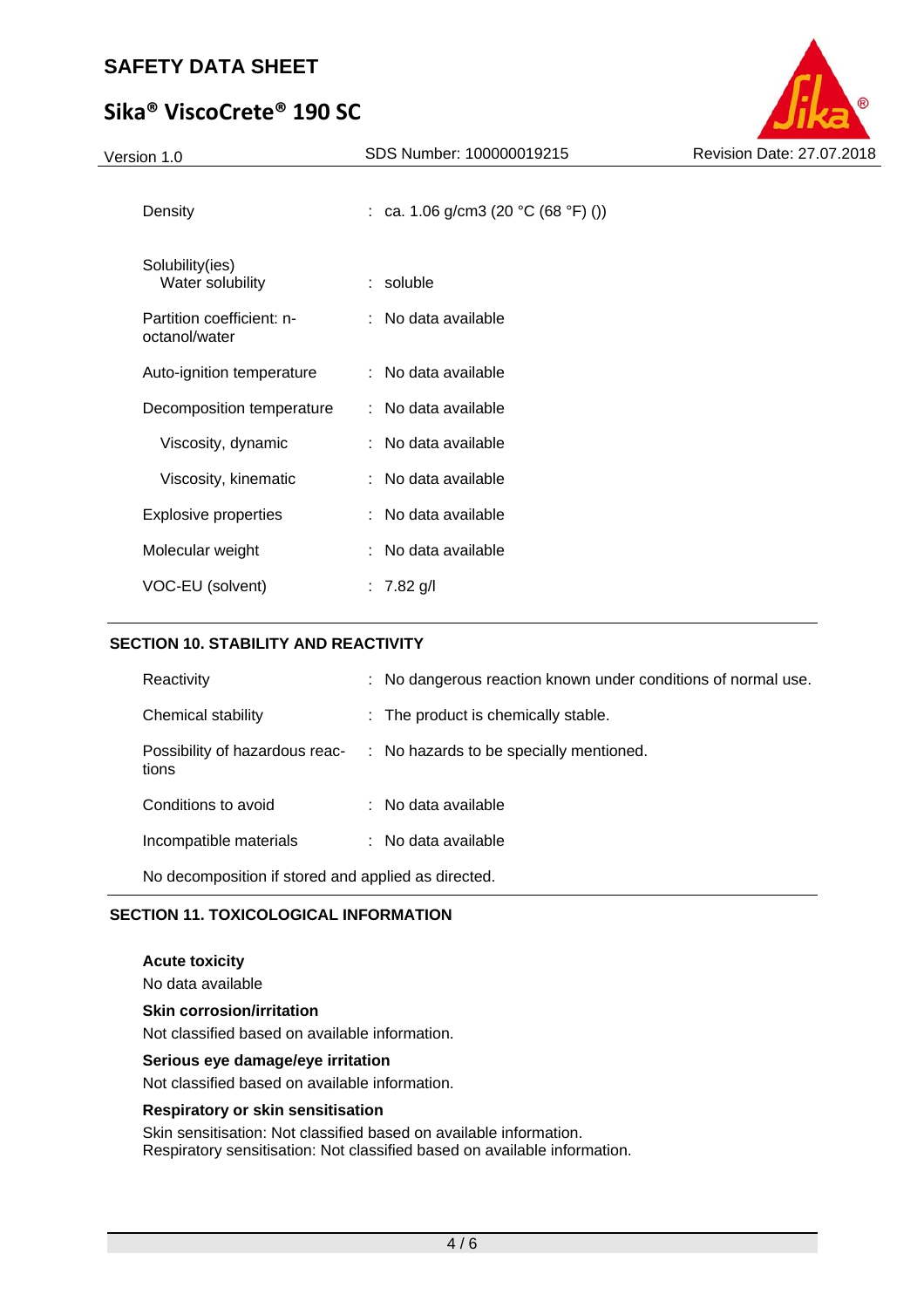# **Sika® ViscoCrete® 190 SC**

Version 1.0 SDS Number: 100000019215

| Revision Date: 27.07.2018 |
|---------------------------|
|                           |

| Density                                    | : ca. 1.06 g/cm3 (20 °C (68 °F) ()) |
|--------------------------------------------|-------------------------------------|
| Solubility(ies)<br>Water solubility        | $:$ soluble                         |
| Partition coefficient: n-<br>octanol/water | : No data available                 |
| Auto-ignition temperature                  | : No data available                 |
| Decomposition temperature                  | : No data available                 |
| Viscosity, dynamic                         | : No data available                 |
| Viscosity, kinematic                       | : No data available                 |
| Explosive properties                       | : No data available                 |
| Molecular weight                           | : No data available                 |
| VOC-EU (solvent)                           | : $7.82$ g/l                        |

### **SECTION 10. STABILITY AND REACTIVITY**

| Reactivity                                          | : No dangerous reaction known under conditions of normal use.          |  |  |
|-----------------------------------------------------|------------------------------------------------------------------------|--|--|
| Chemical stability                                  | : The product is chemically stable.                                    |  |  |
| tions                                               | Possibility of hazardous reac- : No hazards to be specially mentioned. |  |  |
| Conditions to avoid                                 | $\therefore$ No data available                                         |  |  |
| Incompatible materials                              | : No data available                                                    |  |  |
| No decomposition if stored and applied as directed. |                                                                        |  |  |

### **SECTION 11. TOXICOLOGICAL INFORMATION**

**Acute toxicity**  No data available **Skin corrosion/irritation** 

Not classified based on available information.

### **Serious eye damage/eye irritation**

Not classified based on available information.

#### **Respiratory or skin sensitisation**

Skin sensitisation: Not classified based on available information. Respiratory sensitisation: Not classified based on available information.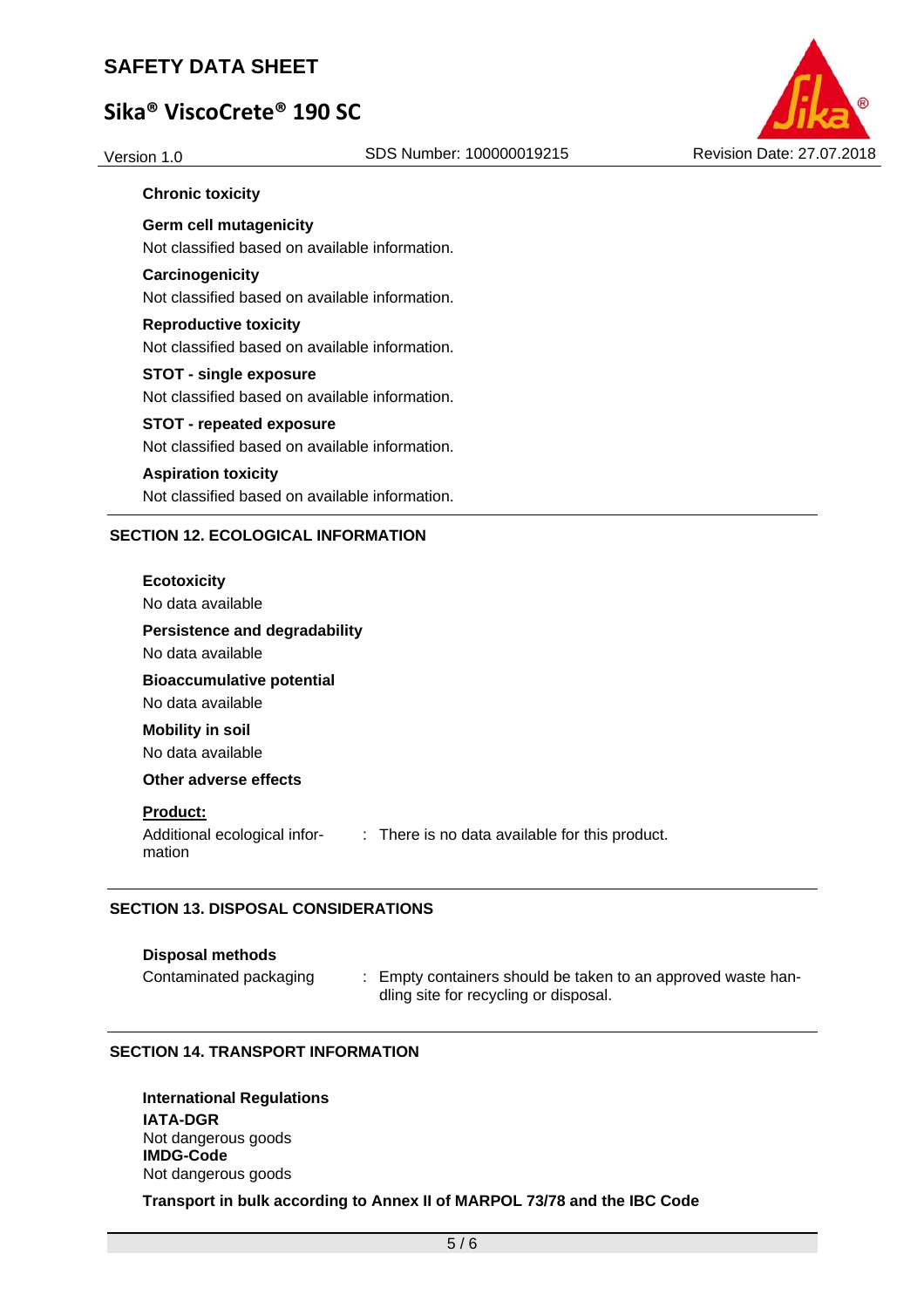# **Sika® ViscoCrete® 190 SC**



### **Chronic toxicity**

**Germ cell mutagenicity**  Not classified based on available information.

### **Carcinogenicity**

Not classified based on available information.

### **Reproductive toxicity**  Not classified based on available information.

**STOT - single exposure**  Not classified based on available information.

### **STOT - repeated exposure**

Not classified based on available information.

### **Aspiration toxicity**

Not classified based on available information.

### **SECTION 12. ECOLOGICAL INFORMATION**

### **Ecotoxicity**

No data available

### **Persistence and degradability**

No data available

**Bioaccumulative potential**  No data available

**Mobility in soil**  No data available

### **Other adverse effects**

#### **Product:**

Additional ecological information : There is no data available for this product.

### **SECTION 13. DISPOSAL CONSIDERATIONS**

#### **Disposal methods**

Contaminated packaging : Empty containers should be taken to an approved waste handling site for recycling or disposal.

### **SECTION 14. TRANSPORT INFORMATION**

**International Regulations IATA-DGR**  Not dangerous goods **IMDG-Code**  Not dangerous goods

### **Transport in bulk according to Annex II of MARPOL 73/78 and the IBC Code**